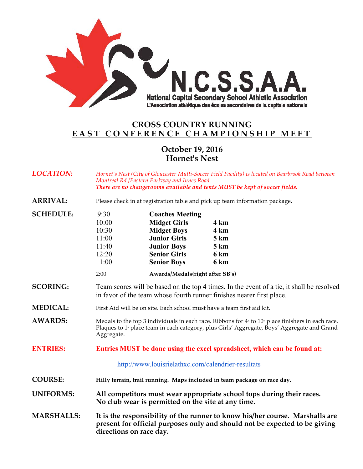

## **CROSS COUNTRY RUNNING EAST CONFERENCE CHAMPIONSHIP MEET**

## **October 19, 2016 Hornet's Nest**

| <b>LOCATION:</b>  | Hornet's Nest (City of Gloucester Multi-Soccer Field Facility) is located on Bearbrook Road between<br>Montreal Rd./Eastern Parkway and Innes Road.<br>There are no changerooms available and tents MUST be kept of soccer fields. |                                                                                                                                                               |                                              |
|-------------------|------------------------------------------------------------------------------------------------------------------------------------------------------------------------------------------------------------------------------------|---------------------------------------------------------------------------------------------------------------------------------------------------------------|----------------------------------------------|
| <b>ARRIVAL:</b>   | Please check in at registration table and pick up team information package.                                                                                                                                                        |                                                                                                                                                               |                                              |
| <b>SCHEDULE:</b>  | 9:30<br>10:00<br>10:30<br>11:00<br>11:40<br>12:20<br>1:00                                                                                                                                                                          | <b>Coaches Meeting</b><br><b>Midget Girls</b><br><b>Midget Boys</b><br><b>Junior Girls</b><br><b>Junior Boys</b><br><b>Senior Girls</b><br><b>Senior Boys</b> | 4 km<br>4 km<br>5 km<br>5 km<br>6 km<br>6 km |
|                   | 2:00<br>Awards/Medals(right after SB's)                                                                                                                                                                                            |                                                                                                                                                               |                                              |
| <b>SCORING:</b>   | Team scores will be based on the top 4 times. In the event of a tie, it shall be resolved<br>in favor of the team whose fourth runner finishes nearer first place.                                                                 |                                                                                                                                                               |                                              |
| <b>MEDICAL:</b>   | First Aid will be on site. Each school must have a team first aid kit.                                                                                                                                                             |                                                                                                                                                               |                                              |
| <b>AWARDS:</b>    | Medals to the top 3 individuals in each race. Ribbons for $4*$ to $10*$ place finishers in each race.<br>Plaques to 1 - place team in each category, plus Girls' Aggregate, Boys' Aggregate and Grand<br>Aggregate.                |                                                                                                                                                               |                                              |
| <b>ENTRIES:</b>   | Entries MUST be done using the excel spreadsheet, which can be found at:                                                                                                                                                           |                                                                                                                                                               |                                              |
|                   | http://www.louisrielathxc.com/calendrier-resultats                                                                                                                                                                                 |                                                                                                                                                               |                                              |
| <b>COURSE:</b>    | Hilly terrain, trail running. Maps included in team package on race day.                                                                                                                                                           |                                                                                                                                                               |                                              |
| <b>UNIFORMS:</b>  | All competitors must wear appropriate school tops during their races.<br>No club wear is permitted on the site at any time.                                                                                                        |                                                                                                                                                               |                                              |
| <b>MARSHALLS:</b> | It is the responsibility of the runner to know his/her course. Marshalls are<br>present for official purposes only and should not be expected to be giving<br>directions on race day.                                              |                                                                                                                                                               |                                              |